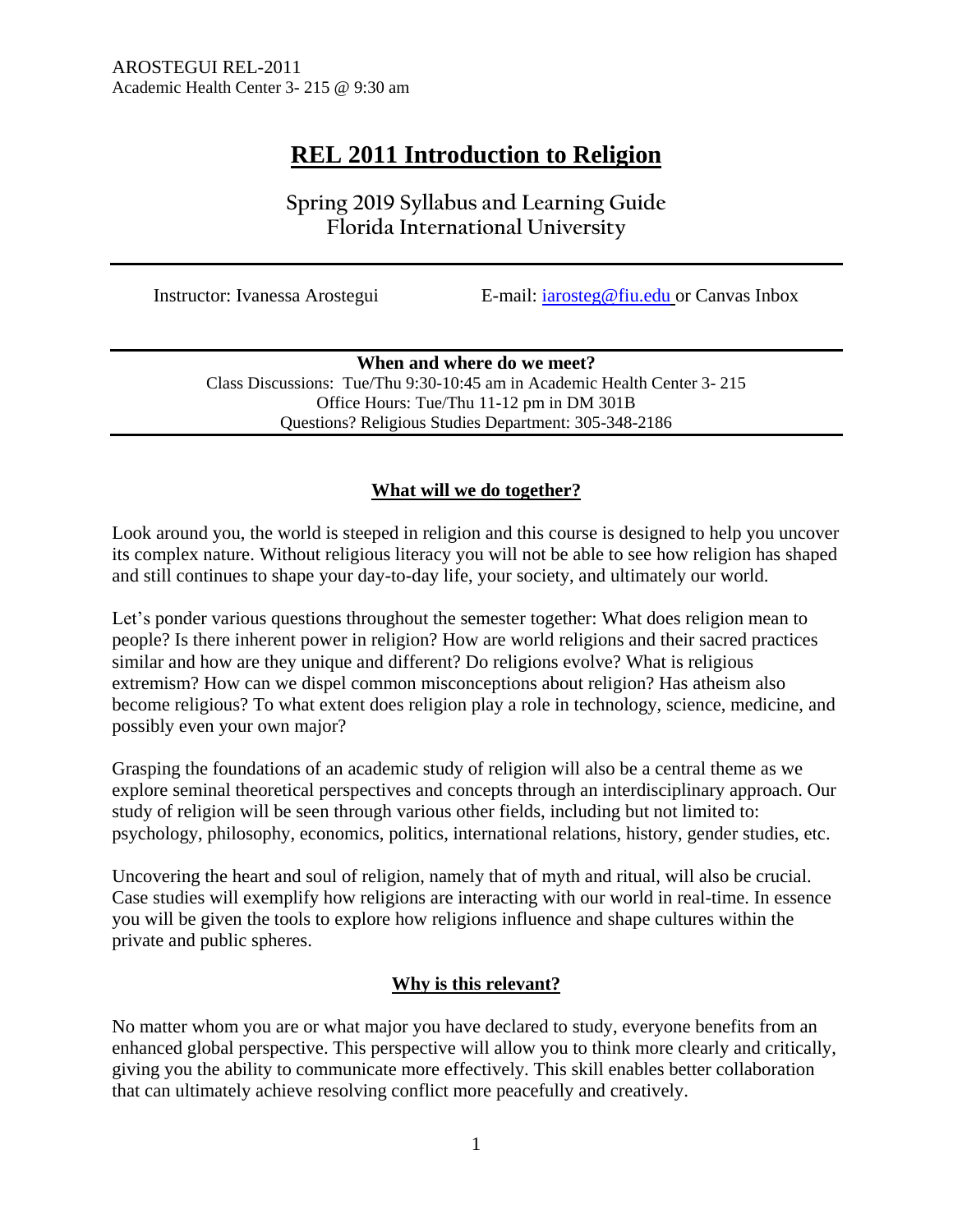# **REL 2011 Introduction to Religion**

**Spring 2019 Syllabus and Learning Guide Florida International University** 

Instructor: Ivanessa Arostegui E-mail: [iarosteg@fiu.edu](mailto:iarosteg@fiu.edu) or Canvas Inbox

**When and where do we meet?** Class Discussions: Tue/Thu 9:30-10:45 am in Academic Health Center 3- 215 Office Hours: Tue/Thu 11-12 pm in DM 301B Questions? Religious Studies Department: 305-348-2186

## **What will we do together?**

Look around you, the world is steeped in religion and this course is designed to help you uncover its complex nature. Without religious literacy you will not be able to see how religion has shaped and still continues to shape your day-to-day life, your society, and ultimately our world.

Let's ponder various questions throughout the semester together: What does religion mean to people? Is there inherent power in religion? How are world religions and their sacred practices similar and how are they unique and different? Do religions evolve? What is religious extremism? How can we dispel common misconceptions about religion? Has atheism also become religious? To what extent does religion play a role in technology, science, medicine, and possibly even your own major?

Grasping the foundations of an academic study of religion will also be a central theme as we explore seminal theoretical perspectives and concepts through an interdisciplinary approach. Our study of religion will be seen through various other fields, including but not limited to: psychology, philosophy, economics, politics, international relations, history, gender studies, etc.

Uncovering the heart and soul of religion, namely that of myth and ritual, will also be crucial. Case studies will exemplify how religions are interacting with our world in real-time. In essence you will be given the tools to explore how religions influence and shape cultures within the private and public spheres.

## **Why is this relevant?**

No matter whom you are or what major you have declared to study, everyone benefits from an enhanced global perspective. This perspective will allow you to think more clearly and critically, giving you the ability to communicate more effectively. This skill enables better collaboration that can ultimately achieve resolving conflict more peacefully and creatively.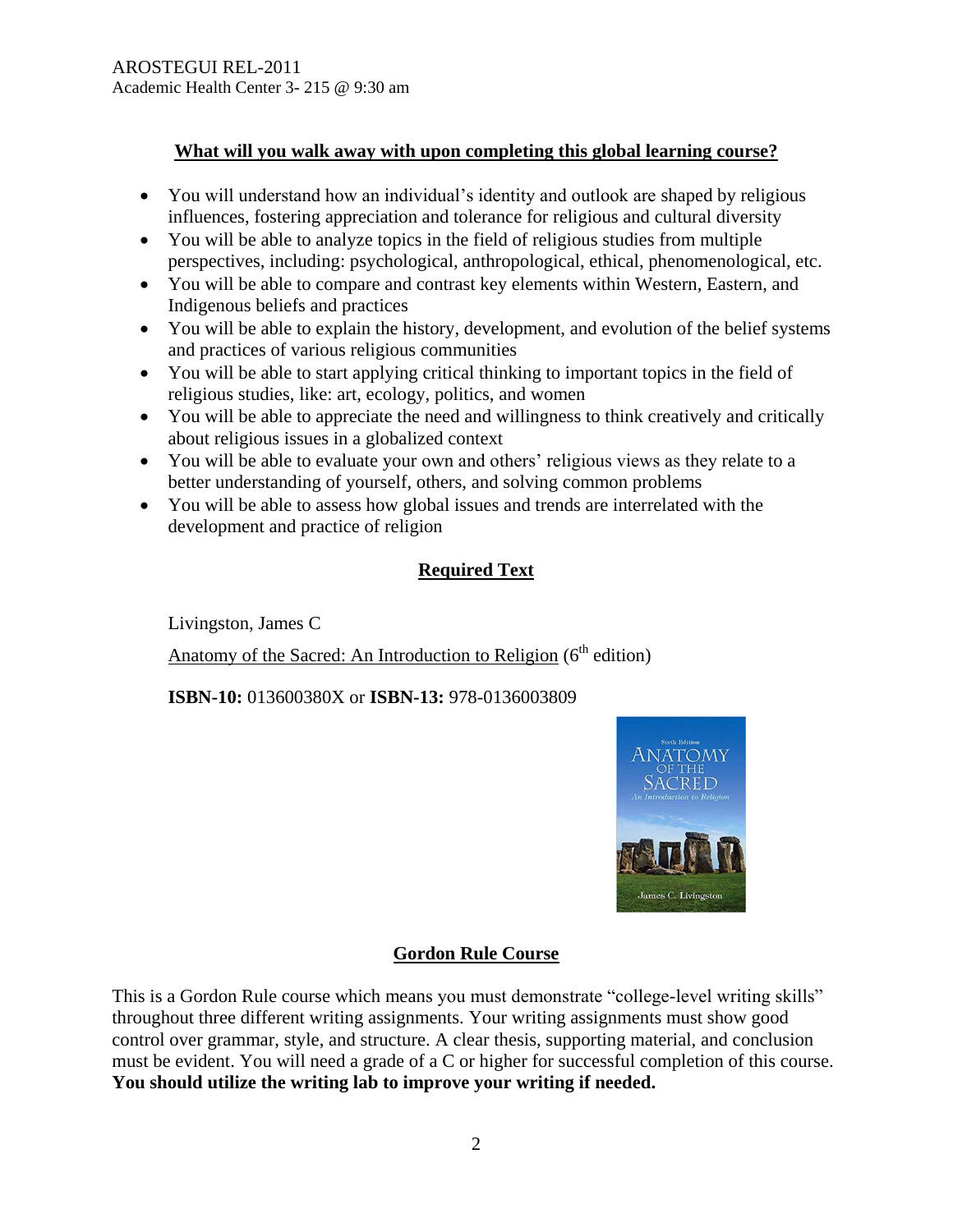## **What will you walk away with upon completing this global learning course?**

- You will understand how an individual's identity and outlook are shaped by religious influences, fostering appreciation and tolerance for religious and cultural diversity
- You will be able to analyze topics in the field of religious studies from multiple perspectives, including: psychological, anthropological, ethical, phenomenological, etc.
- You will be able to compare and contrast key elements within Western, Eastern, and Indigenous beliefs and practices
- You will be able to explain the history, development, and evolution of the belief systems and practices of various religious communities
- You will be able to start applying critical thinking to important topics in the field of religious studies, like: art, ecology, politics, and women
- You will be able to appreciate the need and willingness to think creatively and critically about religious issues in a globalized context
- You will be able to evaluate your own and others' religious views as they relate to a better understanding of yourself, others, and solving common problems
- You will be able to assess how global issues and trends are interrelated with the development and practice of religion

## **Required Text**

Livingston, James C

Anatomy of the Sacred: An Introduction to Religion  $(6<sup>th</sup>$  edition)

**ISBN-10:** 013600380X or **ISBN-13:** 978-0136003809



## **Gordon Rule Course**

This is a Gordon Rule course which means you must demonstrate "college-level writing skills" throughout three different writing assignments. Your writing assignments must show good control over grammar, style, and structure. A clear thesis, supporting material, and conclusion must be evident. You will need a grade of a C or higher for successful completion of this course. **You should utilize the writing lab to improve your writing if needed.**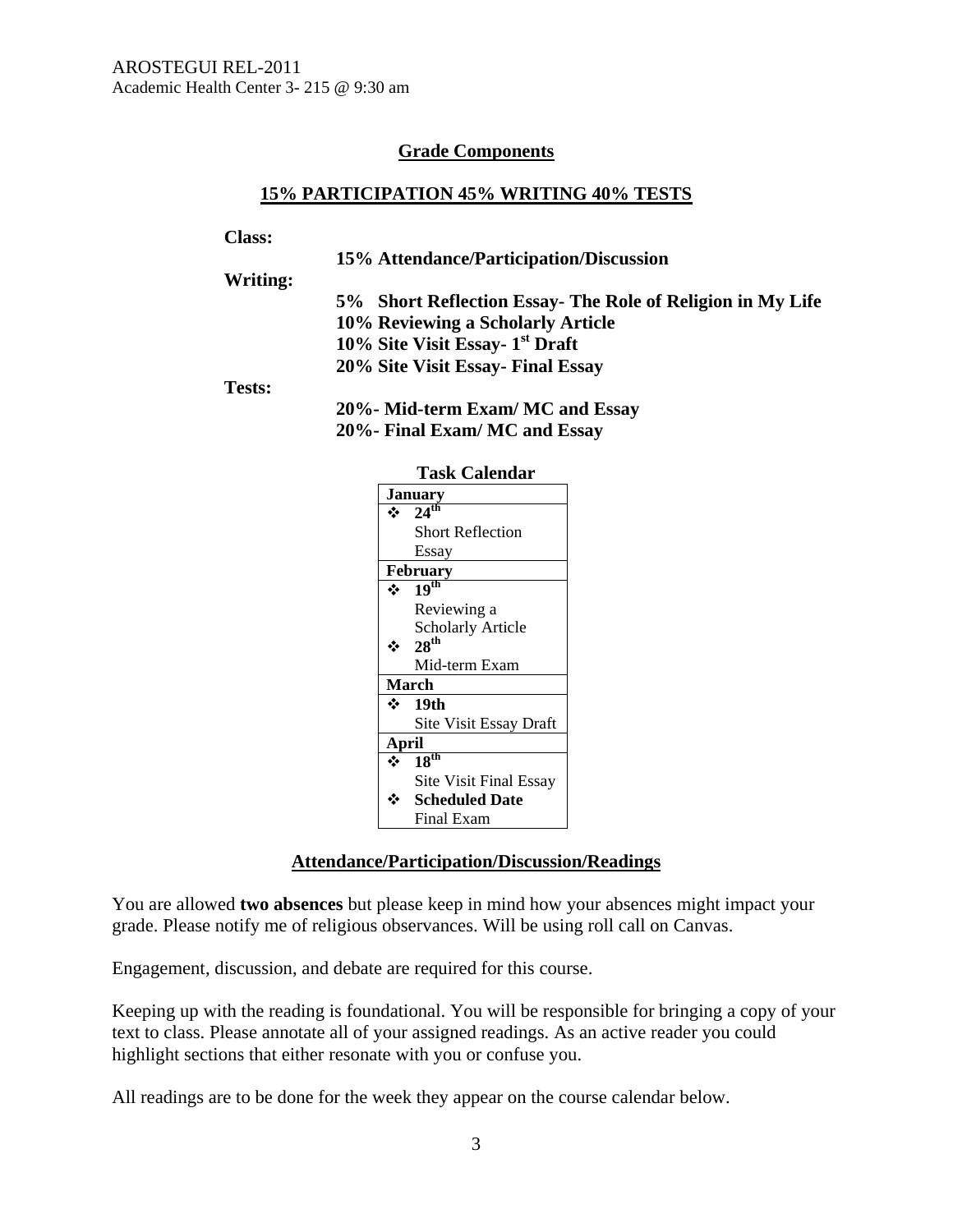## **Grade Components**

### **15% PARTICIPATION 45% WRITING 40% TESTS**

#### **Class:**

|               | 15% Attendance/Participation/Discussion                    |  |  |  |  |  |
|---------------|------------------------------------------------------------|--|--|--|--|--|
| Writing:      |                                                            |  |  |  |  |  |
|               | 5% Short Reflection Essay- The Role of Religion in My Life |  |  |  |  |  |
|               | 10% Reviewing a Scholarly Article                          |  |  |  |  |  |
|               | 10% Site Visit Essay- 1 <sup>st</sup> Draft                |  |  |  |  |  |
|               | 20% Site Visit Essay - Final Essay                         |  |  |  |  |  |
| <b>Tests:</b> |                                                            |  |  |  |  |  |
|               | 20% Mid-term Exam/ MC and Essay                            |  |  |  |  |  |
|               | 20%- Final Exam/ MC and Essay                              |  |  |  |  |  |
|               |                                                            |  |  |  |  |  |

| <b>Task Calendar</b> |                               |  |  |  |  |  |
|----------------------|-------------------------------|--|--|--|--|--|
| January              |                               |  |  |  |  |  |
|                      | $\cdot \cdot 24^{\text{th}}$  |  |  |  |  |  |
|                      | <b>Short Reflection</b>       |  |  |  |  |  |
|                      | Essay                         |  |  |  |  |  |
| February             |                               |  |  |  |  |  |
| $\mathbf{r}$         | 19 <sup>th</sup>              |  |  |  |  |  |
|                      | Reviewing a                   |  |  |  |  |  |
|                      | <b>Scholarly Article</b>      |  |  |  |  |  |
|                      | 28 <sup>th</sup>              |  |  |  |  |  |
|                      | Mid-term Exam                 |  |  |  |  |  |
| March                |                               |  |  |  |  |  |
| ÷.                   | <b>19th</b>                   |  |  |  |  |  |
|                      | <b>Site Visit Essay Draft</b> |  |  |  |  |  |
| April                |                               |  |  |  |  |  |
| ❖                    | 18 <sup>th</sup>              |  |  |  |  |  |
|                      | <b>Site Visit Final Essay</b> |  |  |  |  |  |
|                      | <b>Scheduled Date</b>         |  |  |  |  |  |
|                      | Final Exam                    |  |  |  |  |  |

### **Attendance/Participation/Discussion/Readings**

You are allowed **two absences** but please keep in mind how your absences might impact your grade. Please notify me of religious observances. Will be using roll call on Canvas.

Engagement, discussion, and debate are required for this course.

Keeping up with the reading is foundational. You will be responsible for bringing a copy of your text to class. Please annotate all of your assigned readings. As an active reader you could highlight sections that either resonate with you or confuse you.

All readings are to be done for the week they appear on the course calendar below.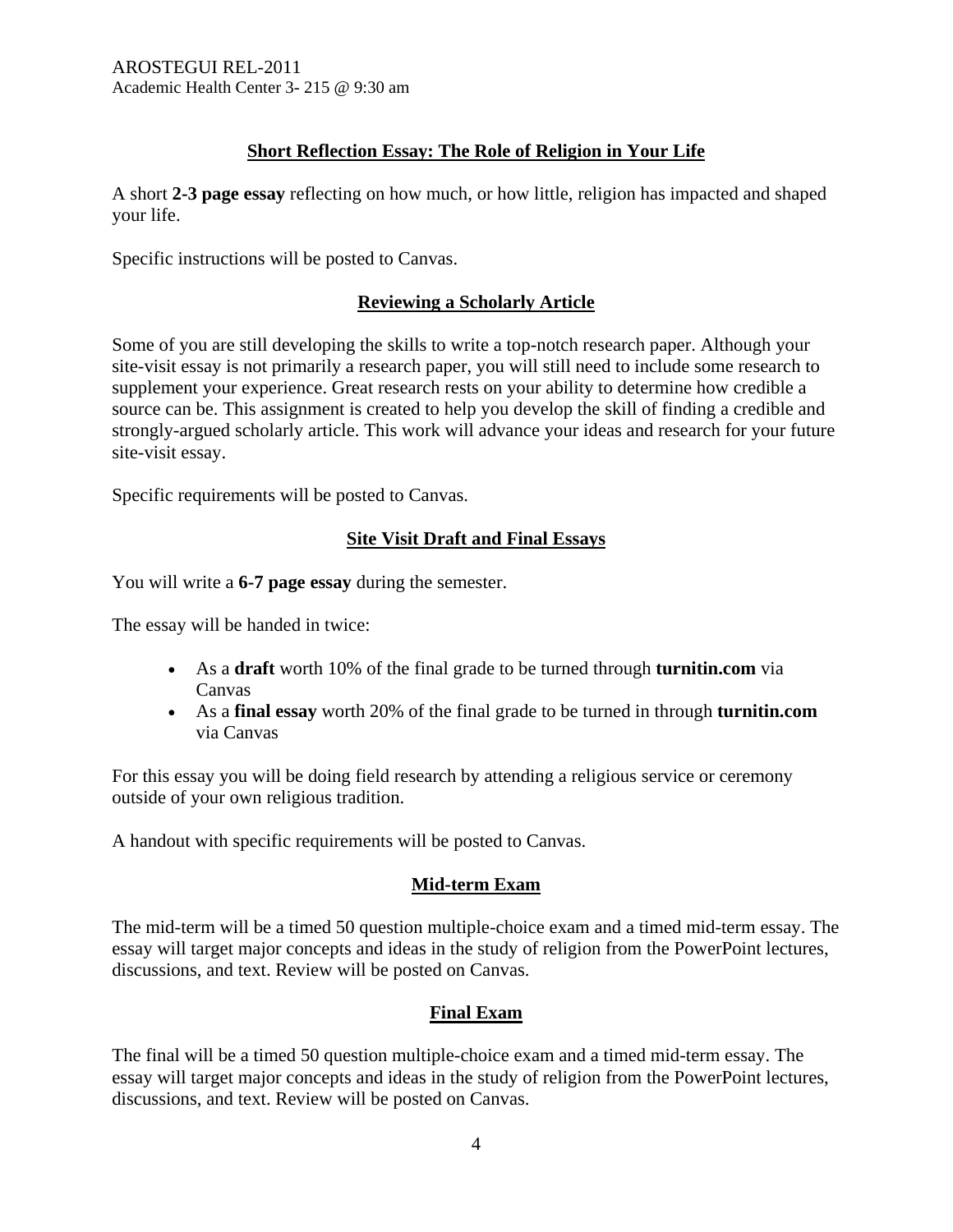## **Short Reflection Essay: The Role of Religion in Your Life**

A short **2-3 page essay** reflecting on how much, or how little, religion has impacted and shaped your life.

Specific instructions will be posted to Canvas.

## **Reviewing a Scholarly Article**

Some of you are still developing the skills to write a top-notch research paper. Although your site-visit essay is not primarily a research paper, you will still need to include some research to supplement your experience. Great research rests on your ability to determine how credible a source can be. This assignment is created to help you develop the skill of finding a credible and strongly-argued scholarly article. This work will advance your ideas and research for your future site-visit essay.

Specific requirements will be posted to Canvas.

## **Site Visit Draft and Final Essays**

You will write a **6-7 page essay** during the semester.

The essay will be handed in twice:

- As a **draft** worth 10% of the final grade to be turned through **turnitin.com** via Canvas
- As a **final essay** worth 20% of the final grade to be turned in through **turnitin.com** via Canvas

For this essay you will be doing field research by attending a religious service or ceremony outside of your own religious tradition.

A handout with specific requirements will be posted to Canvas.

## **Mid-term Exam**

The mid-term will be a timed 50 question multiple-choice exam and a timed mid-term essay. The essay will target major concepts and ideas in the study of religion from the PowerPoint lectures, discussions, and text. Review will be posted on Canvas.

## **Final Exam**

The final will be a timed 50 question multiple-choice exam and a timed mid-term essay. The essay will target major concepts and ideas in the study of religion from the PowerPoint lectures, discussions, and text. Review will be posted on Canvas.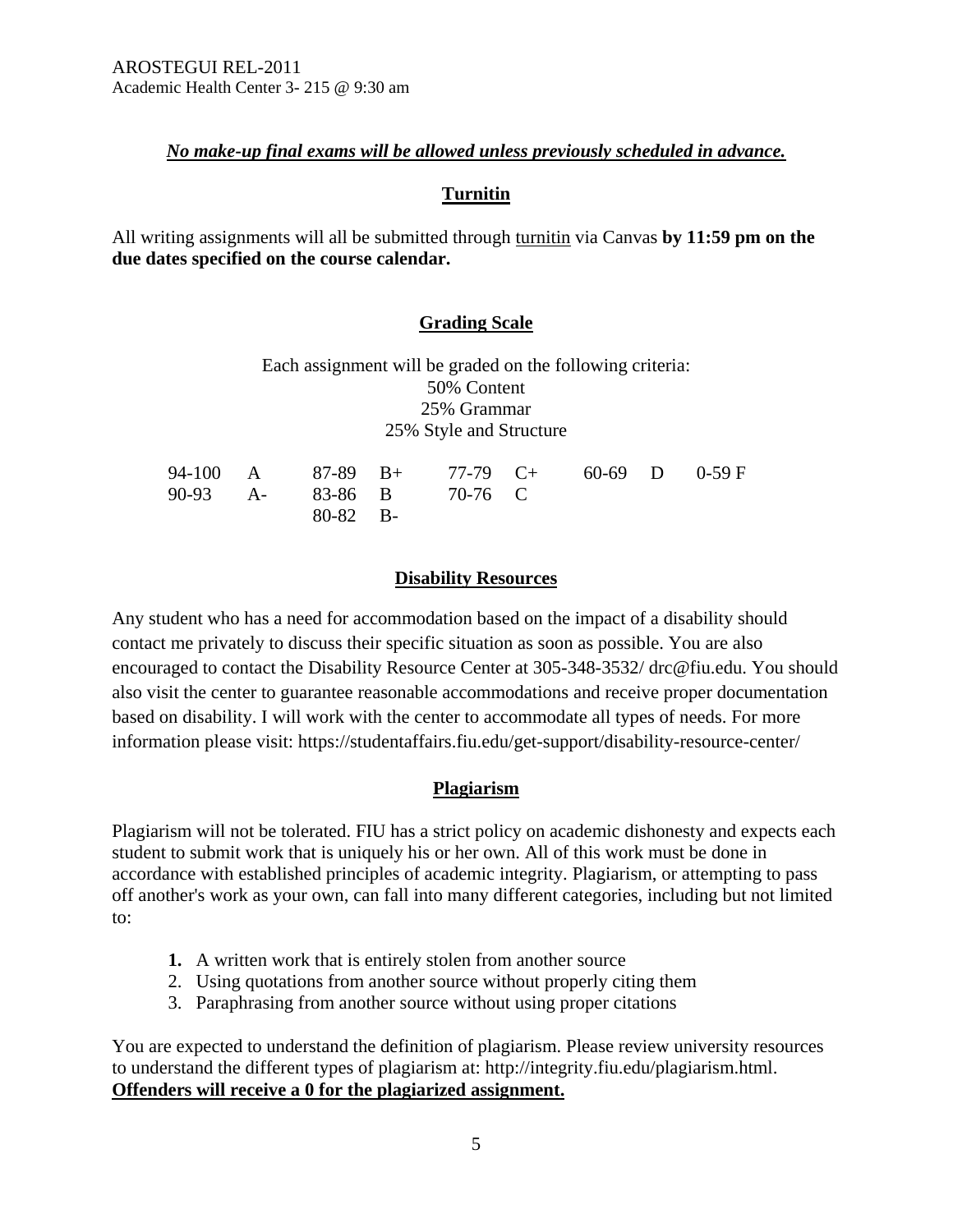## *No make-up final exams will be allowed unless previously scheduled in advance.*

## **Turnitin**

All writing assignments will all be submitted through [turnitin](http://www.turnitin.com/) via Canvas **by 11:59 pm on the due dates specified on the course calendar.** 

## **Grading Scale**

| Each assignment will be graded on the following criteria: |  |  |  |  |  |  |  |
|-----------------------------------------------------------|--|--|--|--|--|--|--|
| 50% Content                                               |  |  |  |  |  |  |  |
| 25% Grammar                                               |  |  |  |  |  |  |  |
| 25% Style and Structure                                   |  |  |  |  |  |  |  |

|  |            |                          | 94-100 A $87-89$ B+ 77-79 C+ 60-69 D 0-59 F |  |
|--|------------|--------------------------|---------------------------------------------|--|
|  |            | 90-93 A- 83-86 B 70-76 C |                                             |  |
|  | $80-82$ B- |                          |                                             |  |

## **Disability Resources**

Any student who has a need for accommodation based on the impact of a disability should contact me privately to discuss their specific situation as soon as possible. You are also encouraged to contact the Disability Resource Center at 305-348-3532/ drc@fiu.edu. You should also visit the center to guarantee reasonable accommodations and receive proper documentation based on disability. I will work with the center to accommodate all types of needs. For more information please visit: https://studentaffairs.fiu.edu/get-support/disability-resource-center/

## **Plagiarism**

Plagiarism will not be tolerated. FIU has a strict policy on academic dishonesty and expects each student to submit work that is uniquely his or her own. All of this work must be done in accordance with established principles of academic integrity. Plagiarism, or attempting to pass off another's work as your own, can fall into many different categories, including but not limited to:

- **1.** A written work that is entirely stolen from another source
- 2. Using quotations from another source without properly citing them
- 3. Paraphrasing from another source without using proper citations

You are expected to understand the definition of plagiarism. Please review university resources to understand the different types of plagiarism at: http://integrity.fiu.edu/plagiarism.html. **Offenders will receive a 0 for the plagiarized assignment.**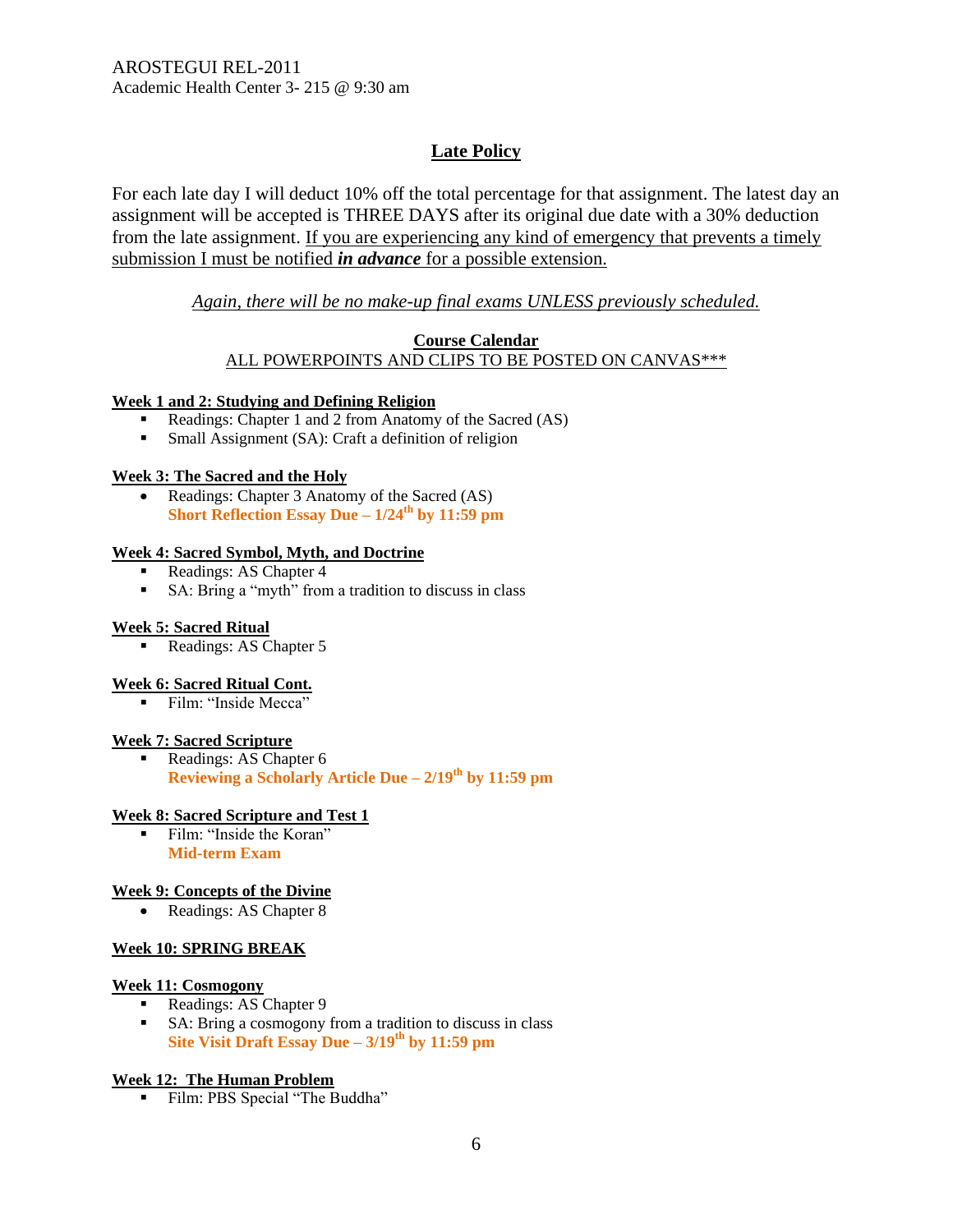## **Late Policy**

For each late day I will deduct 10% off the total percentage for that assignment. The latest day an assignment will be accepted is THREE DAYS after its original due date with a 30% deduction from the late assignment. If you are experiencing any kind of emergency that prevents a timely submission I must be notified *in advance* for a possible extension.

### *Again, there will be no make-up final exams UNLESS previously scheduled.*

### **Course Calendar**

ALL POWERPOINTS AND CLIPS TO BE POSTED ON CANVAS\*\*\*

### **Week 1 and 2: Studying and Defining Religion**

- Readings: Chapter 1 and 2 from Anatomy of the Sacred (AS)
- Small Assignment (SA): Craft a definition of religion

### **Week 3: The Sacred and the Holy**

• Readings: Chapter 3 Anatomy of the Sacred (AS) **Short Reflection Essay Due – 1/24th by 11:59 pm** 

## **Week 4: Sacred Symbol, Myth, and Doctrine**

- Readings: AS Chapter 4
- SA: Bring a "myth" from a tradition to discuss in class

### **Week 5: Sacred Ritual**

Readings: AS Chapter 5

### **Week 6: Sacred Ritual Cont.**

Film: "Inside Mecca"

#### **Week 7: Sacred Scripture**

Readings: AS Chapter 6 **Reviewing a Scholarly Article Due – 2/19th by 11:59 pm** 

## **Week 8: Sacred Scripture and Test 1**

 Film: "Inside the Koran" **Mid-term Exam**

### **Week 9: Concepts of the Divine**

• Readings: AS Chapter 8

### **Week 10: SPRING BREAK**

#### **Week 11: Cosmogony**

- Readings: AS Chapter 9
- SA: Bring a cosmogony from a tradition to discuss in class **Site Visit Draft Essay Due – 3/19th by 11:59 pm**

### **Week 12: The Human Problem**

Film: PBS Special "The Buddha"